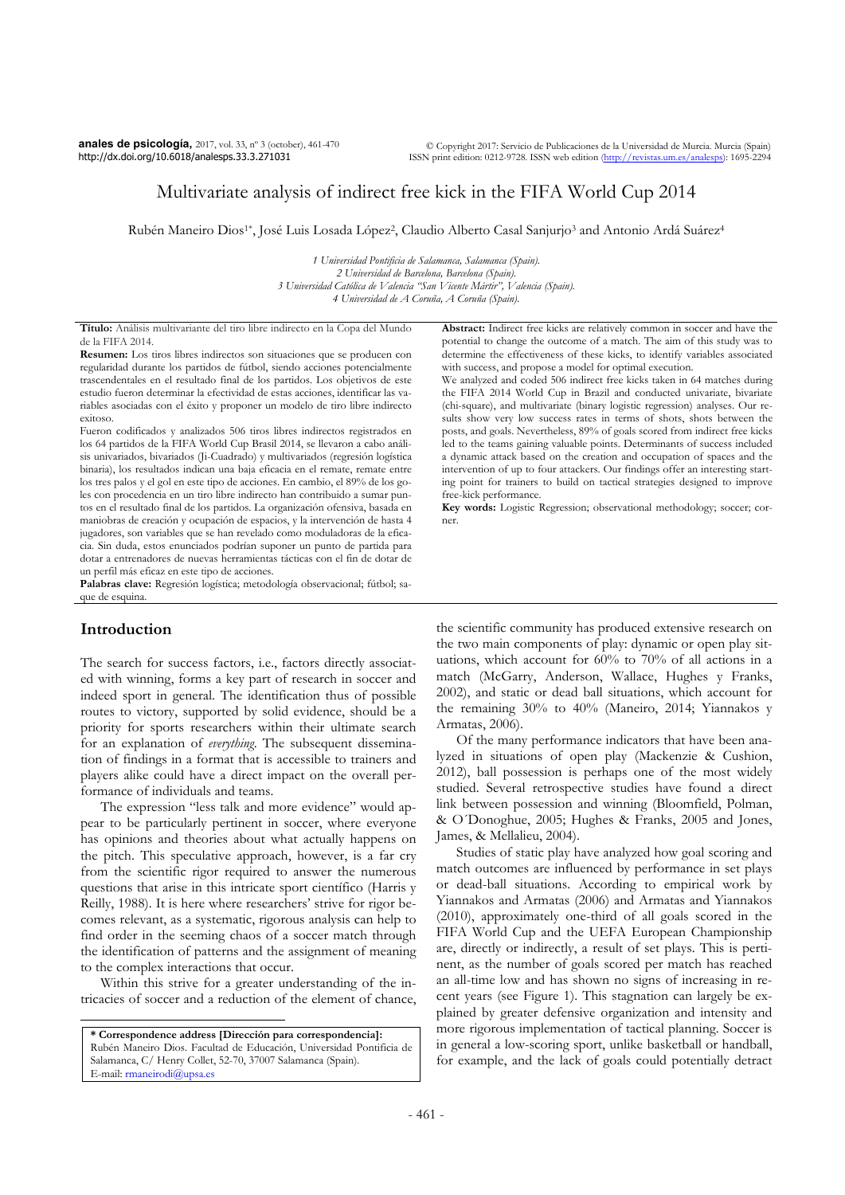**anales de psicología,** 2017, vol. 33, nº 3 (october), 461-470 http://dx.doi.org/10.6018/analesps.33.3.271031

# Multivariate analysis of indirect free kick in the FIFA World Cup 2014

Rubén Maneiro Dios<sup>1\*</sup>, José Luis Losada López<sup>2</sup>, Claudio Alberto Casal Sanjurjo<sup>3</sup> and Antonio Ardá Suárez<sup>4</sup>

*1 Universidad Pontificia de Salamanca, Salamanca (Spain). 2 Universidad de Barcelona, Barcelona (Spain). 3 Universidad Católica de Valencia "San Vicente Mártir", Valencia (Spain). 4 Universidad de A Coruña, A Coruña (Spain).* 

**Título:** Análisis multivariante del tiro libre indirecto en la Copa del Mundo de la FIFA 2014.

**Resumen:** Los tiros libres indirectos son situaciones que se producen con regularidad durante los partidos de fútbol, siendo acciones potencialmente trascendentales en el resultado final de los partidos. Los objetivos de este estudio fueron determinar la efectividad de estas acciones, identificar las variables asociadas con el éxito y proponer un modelo de tiro libre indirecto exitoso.

Fueron codificados y analizados 506 tiros libres indirectos registrados en los 64 partidos de la FIFA World Cup Brasil 2014, se llevaron a cabo análisis univariados, bivariados (Ji-Cuadrado) y multivariados (regresión logística binaria), los resultados indican una baja eficacia en el remate, remate entre los tres palos y el gol en este tipo de acciones. En cambio, el 89% de los goles con procedencia en un tiro libre indirecto han contribuido a sumar puntos en el resultado final de los partidos. La organización ofensiva, basada en maniobras de creación y ocupación de espacios, y la intervención de hasta 4 jugadores, son variables que se han revelado como moduladoras de la eficacia. Sin duda, estos enunciados podrían suponer un punto de partida para dotar a entrenadores de nuevas herramientas tácticas con el fin de dotar de un perfil más eficaz en este tipo de acciones.

**Palabras clave:** Regresión logística; metodología observacional; fútbol; saque de esquina.

# **Introduction**

 $\overline{a}$ 

The search for success factors, i.e., factors directly associated with winning, forms a key part of research in soccer and indeed sport in general. The identification thus of possible routes to victory, supported by solid evidence, should be a priority for sports researchers within their ultimate search for an explanation of *everything*. The subsequent dissemination of findings in a format that is accessible to trainers and players alike could have a direct impact on the overall performance of individuals and teams.

The expression "less talk and more evidence" would appear to be particularly pertinent in soccer, where everyone has opinions and theories about what actually happens on the pitch. This speculative approach, however, is a far cry from the scientific rigor required to answer the numerous questions that arise in this intricate sport científico (Harris y Reilly, 1988). It is here where researchers' strive for rigor becomes relevant, as a systematic, rigorous analysis can help to find order in the seeming chaos of a soccer match through the identification of patterns and the assignment of meaning to the complex interactions that occur.

Within this strive for a greater understanding of the intricacies of soccer and a reduction of the element of chance,

**\* Correspondence address [Dirección para correspondencia]:**  Rubén Maneiro Dios. Facultad de Educación, Universidad Pontificia de Salamanca, C/ Henry Collet, 52-70, 37007 Salamanca (Spain). E-mail: rmaneirodi@upsa.es

**Abstract:** Indirect free kicks are relatively common in soccer and have the potential to change the outcome of a match. The aim of this study was to determine the effectiveness of these kicks, to identify variables associated with success, and propose a model for optimal execution.

We analyzed and coded 506 indirect free kicks taken in 64 matches during the FIFA 2014 World Cup in Brazil and conducted univariate, bivariate (chi-square), and multivariate (binary logistic regression) analyses. Our results show very low success rates in terms of shots, shots between the posts, and goals. Nevertheless, 89% of goals scored from indirect free kicks led to the teams gaining valuable points. Determinants of success included a dynamic attack based on the creation and occupation of spaces and the intervention of up to four attackers. Our findings offer an interesting starting point for trainers to build on tactical strategies designed to improve free-kick performance.

**Key words:** Logistic Regression; observational methodology; soccer; corner.

the scientific community has produced extensive research on the two main components of play: dynamic or open play situations, which account for 60% to 70% of all actions in a match (McGarry, Anderson, Wallace, Hughes y Franks, 2002), and static or dead ball situations, which account for the remaining 30% to 40% (Maneiro, 2014; Yiannakos y Armatas, 2006).

Of the many performance indicators that have been analyzed in situations of open play (Mackenzie & Cushion, 2012), ball possession is perhaps one of the most widely studied. Several retrospective studies have found a direct link between possession and winning (Bloomfield, Polman, & O´Donoghue, 2005; Hughes & Franks, 2005 and Jones, James, & Mellalieu, 2004).

Studies of static play have analyzed how goal scoring and match outcomes are influenced by performance in set plays or dead-ball situations. According to empirical work by Yiannakos and Armatas (2006) and Armatas and Yiannakos (2010), approximately one-third of all goals scored in the FIFA World Cup and the UEFA European Championship are, directly or indirectly, a result of set plays. This is pertinent, as the number of goals scored per match has reached an all-time low and has shown no signs of increasing in recent years (see Figure 1). This stagnation can largely be explained by greater defensive organization and intensity and more rigorous implementation of tactical planning. Soccer is in general a low-scoring sport, unlike basketball or handball, for example, and the lack of goals could potentially detract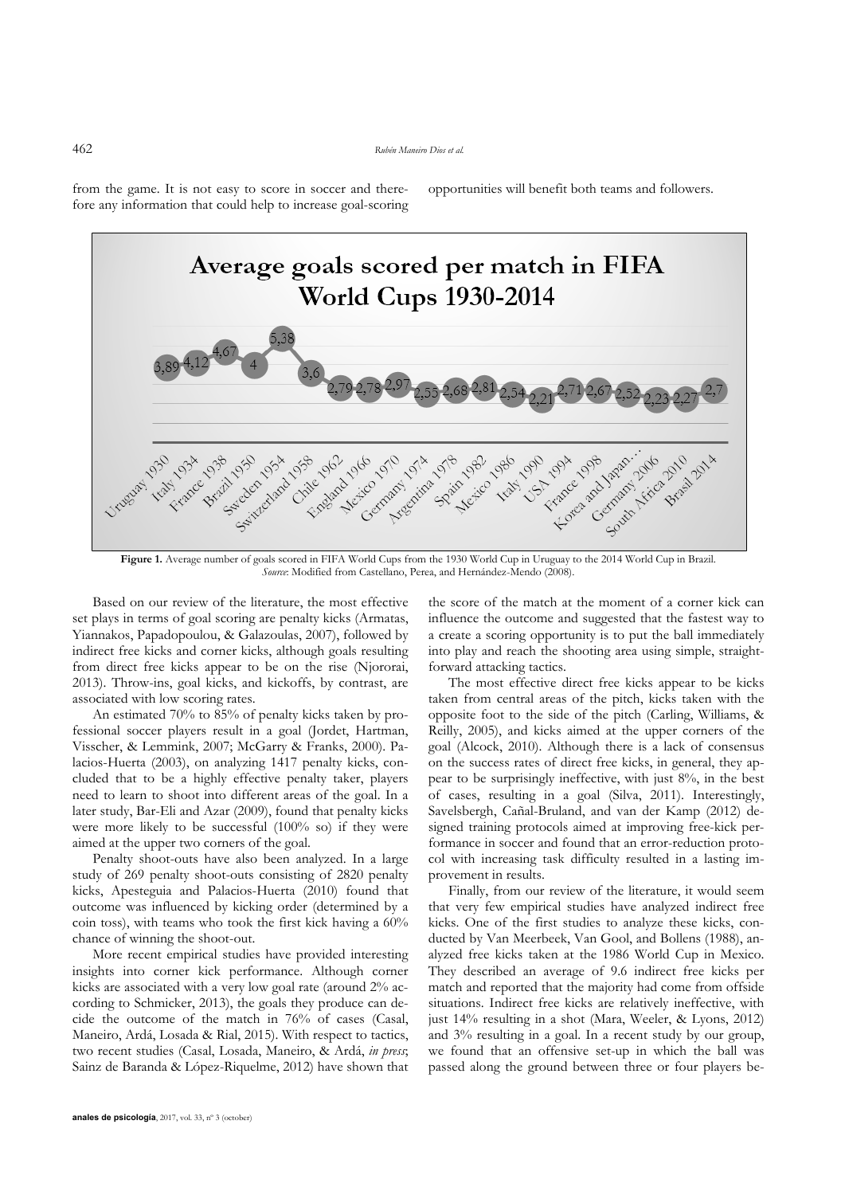from the game. It is not easy to score in soccer and therefore any information that could help to increase goal-scoring opportunities will benefit both teams and followers.



**Figure 1.** Average number of goals scored in FIFA World Cups from the 1930 World Cup in Uruguay to the 2014 World Cup in Brazil. *Source*: Modified from Castellano, Perea, and Hernández-Mendo (2008).

Based on our review of the literature, the most effective set plays in terms of goal scoring are penalty kicks (Armatas, Yiannakos, Papadopoulou, & Galazoulas, 2007), followed by indirect free kicks and corner kicks, although goals resulting from direct free kicks appear to be on the rise (Njororai, 2013). Throw-ins, goal kicks, and kickoffs, by contrast, are associated with low scoring rates.

An estimated 70% to 85% of penalty kicks taken by professional soccer players result in a goal (Jordet, Hartman, Visscher, & Lemmink, 2007; McGarry & Franks, 2000). Palacios-Huerta (2003), on analyzing 1417 penalty kicks, concluded that to be a highly effective penalty taker, players need to learn to shoot into different areas of the goal. In a later study, Bar-Eli and Azar (2009), found that penalty kicks were more likely to be successful (100% so) if they were aimed at the upper two corners of the goal.

Penalty shoot-outs have also been analyzed. In a large study of 269 penalty shoot-outs consisting of 2820 penalty kicks, Apesteguia and Palacios-Huerta (2010) found that outcome was influenced by kicking order (determined by a coin toss), with teams who took the first kick having a 60% chance of winning the shoot-out.

More recent empirical studies have provided interesting insights into corner kick performance. Although corner kicks are associated with a very low goal rate (around 2% according to Schmicker, 2013), the goals they produce can decide the outcome of the match in 76% of cases (Casal, Maneiro, Ardá, Losada & Rial, 2015). With respect to tactics, two recent studies (Casal, Losada, Maneiro, & Ardá, *in press*; Sainz de Baranda & López-Riquelme, 2012) have shown that

**anales de psicología**, 2017, vol. 33, nº 3 (october)

the score of the match at the moment of a corner kick can influence the outcome and suggested that the fastest way to a create a scoring opportunity is to put the ball immediately into play and reach the shooting area using simple, straightforward attacking tactics.

The most effective direct free kicks appear to be kicks taken from central areas of the pitch, kicks taken with the opposite foot to the side of the pitch (Carling, Williams, & Reilly, 2005), and kicks aimed at the upper corners of the goal (Alcock, 2010). Although there is a lack of consensus on the success rates of direct free kicks, in general, they appear to be surprisingly ineffective, with just 8%, in the best of cases, resulting in a goal (Silva, 2011). Interestingly, Savelsbergh, Cañal-Bruland, and van der Kamp (2012) designed training protocols aimed at improving free-kick performance in soccer and found that an error-reduction protocol with increasing task difficulty resulted in a lasting improvement in results.

Finally, from our review of the literature, it would seem that very few empirical studies have analyzed indirect free kicks. One of the first studies to analyze these kicks, conducted by Van Meerbeek, Van Gool, and Bollens (1988), analyzed free kicks taken at the 1986 World Cup in Mexico. They described an average of 9.6 indirect free kicks per match and reported that the majority had come from offside situations. Indirect free kicks are relatively ineffective, with just 14% resulting in a shot (Mara, Weeler, & Lyons, 2012) and 3% resulting in a goal. In a recent study by our group, we found that an offensive set-up in which the ball was passed along the ground between three or four players be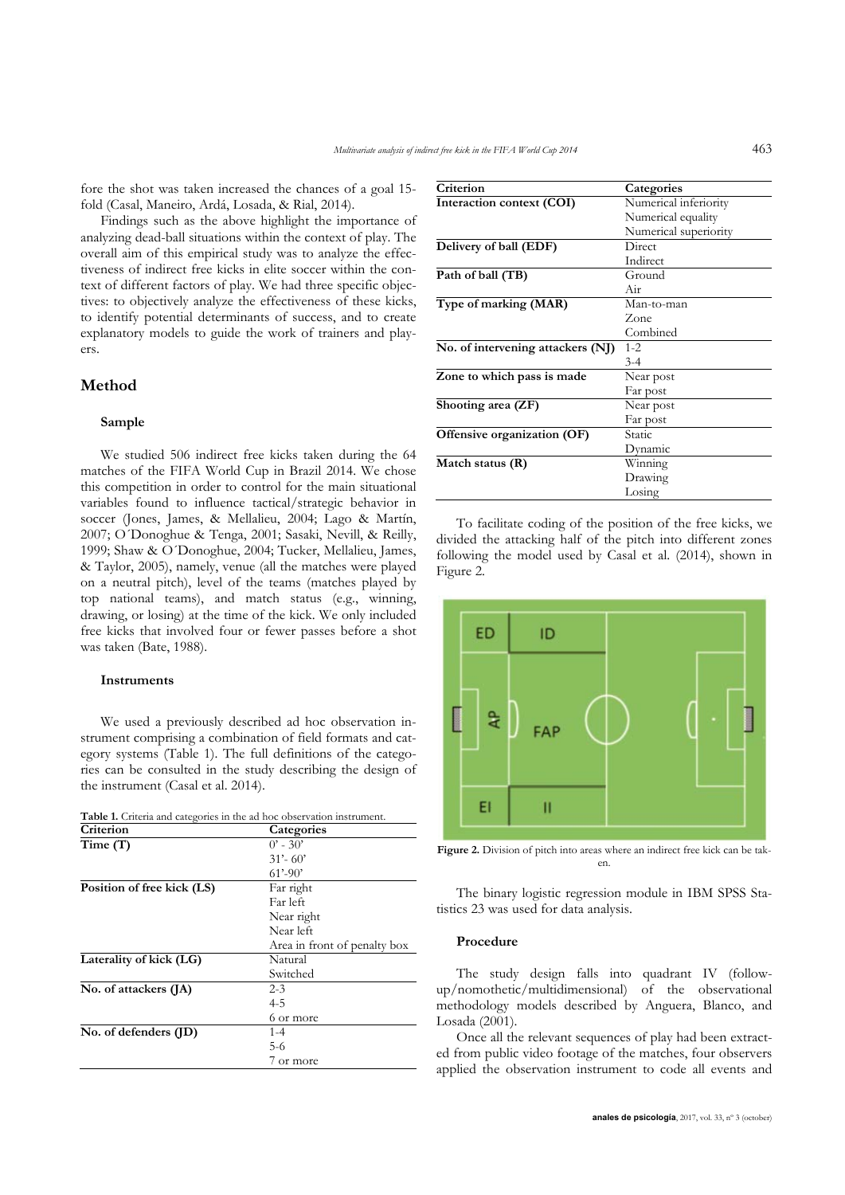fore the shot was taken increased the chances of a goal 15 fold (Casal, Maneiro, Ardá, Losada, & Rial, 2014).

Findings such as the above highlight the importance of analyzing dead-ball situations within the context of play. The overall aim of this empirical study was to analyze the effectiveness of indirect free kicks in elite soccer within the context of different factors of play. We had three specific objectives: to objectively analyze the effectiveness of these kicks, to identify potential determinants of success, and to create explanatory models to guide the work of trainers and players.

## **Method**

### **Sample**

We studied 506 indirect free kicks taken during the 64 matches of the FIFA World Cup in Brazil 2014. We chose this competition in order to control for the main situational variables found to influence tactical/strategic behavior in soccer (Jones, James, & Mellalieu, 2004; Lago & Martín, 2007; O´Donoghue & Tenga, 2001; Sasaki, Nevill, & Reilly, 1999; Shaw & O´Donoghue, 2004; Tucker, Mellalieu, James, & Taylor, 2005), namely, venue (all the matches were played on a neutral pitch), level of the teams (matches played by top national teams), and match status (e.g., winning, drawing, or losing) at the time of the kick. We only included free kicks that involved four or fewer passes before a shot was taken (Bate, 1988).

#### **Instruments**

We used a previously described ad hoc observation instrument comprising a combination of field formats and category systems (Table 1). The full definitions of the categories can be consulted in the study describing the design of the instrument (Casal et al. 2014).

|  | Table 1. Criteria and categories in the ad hoc observation instrument. |  |  |  |
|--|------------------------------------------------------------------------|--|--|--|
|--|------------------------------------------------------------------------|--|--|--|

| Categories                   |
|------------------------------|
| $0'$ - 30'                   |
| $31' - 60'$                  |
| $61' - 90'$                  |
| Far right                    |
| Far left                     |
| Near right                   |
| Near left                    |
| Area in front of penalty box |
| Natural                      |
| Switched                     |
| $2 - 3$                      |
| 4-5                          |
| 6 or more                    |
| $1 - 4$                      |
| $5-6$                        |
| / or more                    |
|                              |

| Criterion                         | Categories            |
|-----------------------------------|-----------------------|
| Interaction context (COI)         | Numerical inferiority |
|                                   | Numerical equality    |
|                                   | Numerical superiority |
| Delivery of ball (EDF)            | Direct                |
|                                   | Indirect              |
| Path of ball (TB)                 | Ground                |
|                                   | Air                   |
| Type of marking (MAR)             | Man-to-man            |
|                                   | Zone                  |
|                                   | Combined              |
| No. of intervening attackers (NJ) | $1 - 2$               |
|                                   | $3 - 4$               |
| Zone to which pass is made        | Near post             |
|                                   | Far post              |
| Shooting area (ZF)                | Near post             |
|                                   | Far post              |
| Offensive organization (OF)       | Static                |
|                                   | Dynamic               |
| Match status (R)                  | Winning               |
|                                   | Drawing               |
|                                   | Losing                |

To facilitate coding of the position of the free kicks, we divided the attacking half of the pitch into different zones following the model used by Casal et al. (2014), shown in Figure 2.



**Figure 2.** Division of pitch into areas where an indirect free kick can be taken.

The binary logistic regression module in IBM SPSS Statistics 23 was used for data analysis.

## **Procedure**

The study design falls into quadrant IV (followup/nomothetic/multidimensional) of the observational methodology models described by Anguera, Blanco, and Losada (2001).

Once all the relevant sequences of play had been extracted from public video footage of the matches, four observers applied the observation instrument to code all events and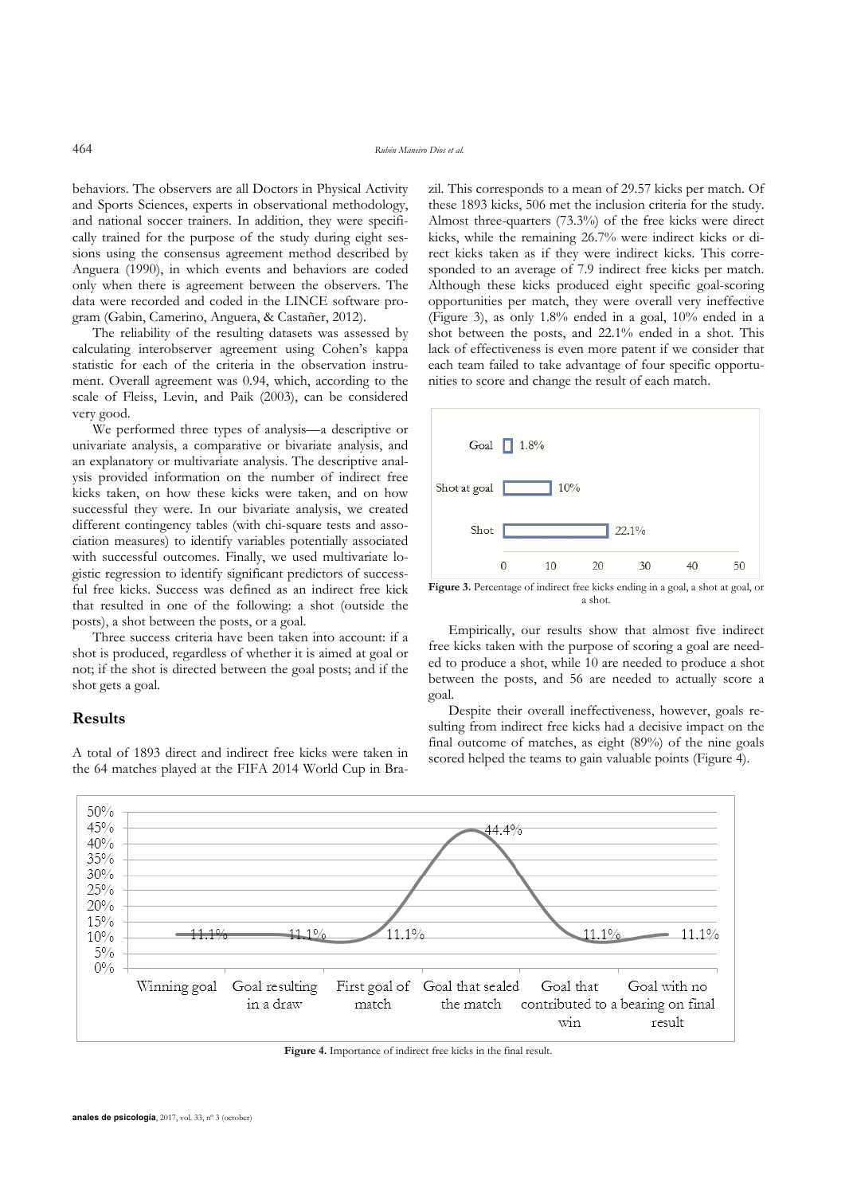behaviors. The observers are all Doctors in Physical Activity and Sports Sciences, experts in observational methodology, and national soccer trainers. In addition, they were specifically trained for the purpose of the study during eight sessions using the consensus agreement method described by Anguera (1990), in which events and behaviors are coded only when there is agreement between the observers. The data were recorded and coded in the LINCE software program (Gabin, Camerino, Anguera, & Castañer, 2012).

The reliability of the resulting datasets was assessed by calculating interobserver agreement using Cohen's kappa statistic for each of the criteria in the observation instrument. Overall agreement was 0.94, which, according to the scale of Fleiss, Levin, and Paik (2003), can be considered very good.

We performed three types of analysis—a descriptive or univariate analysis, a comparative or bivariate analysis, and an explanatory or multivariate analysis. The descriptive analysis provided information on the number of indirect free kicks taken, on how these kicks were taken, and on how successful they were. In our bivariate analysis, we created different contingency tables (with chi-square tests and association measures) to identify variables potentially associated with successful outcomes. Finally, we used multivariate logistic regression to identify significant predictors of successful free kicks. Success was defined as an indirect free kick that resulted in one of the following: a shot (outside the posts), a shot between the posts, or a goal.

Three success criteria have been taken into account: if a shot is produced, regardless of whether it is aimed at goal or not; if the shot is directed between the goal posts; and if the shot gets a goal.

## **Results**

A total of 1893 direct and indirect free kicks were taken in the 64 matches played at the FIFA 2014 World Cup in Brazil. This corresponds to a mean of 29.57 kicks per match. Of these 1893 kicks, 506 met the inclusion criteria for the study. Almost three-quarters (73.3%) of the free kicks were direct kicks, while the remaining 26.7% were indirect kicks or direct kicks taken as if they were indirect kicks. This corresponded to an average of 7.9 indirect free kicks per match. Although these kicks produced eight specific goal-scoring opportunities per match, they were overall very ineffective (Figure 3), as only 1.8% ended in a goal, 10% ended in a shot between the posts, and 22.1% ended in a shot. This lack of effectiveness is even more patent if we consider that each team failed to take advantage of four specific opportunities to score and change the result of each match.



**Figure 3.** Percentage of indirect free kicks ending in a goal, a shot at goal, or a shot.

Empirically, our results show that almost five indirect free kicks taken with the purpose of scoring a goal are needed to produce a shot, while 10 are needed to produce a shot between the posts, and 56 are needed to actually score a goal.

Despite their overall ineffectiveness, however, goals resulting from indirect free kicks had a decisive impact on the final outcome of matches, as eight (89%) of the nine goals scored helped the teams to gain valuable points (Figure 4).



**Figure 4.** Importance of indirect free kicks in the final result.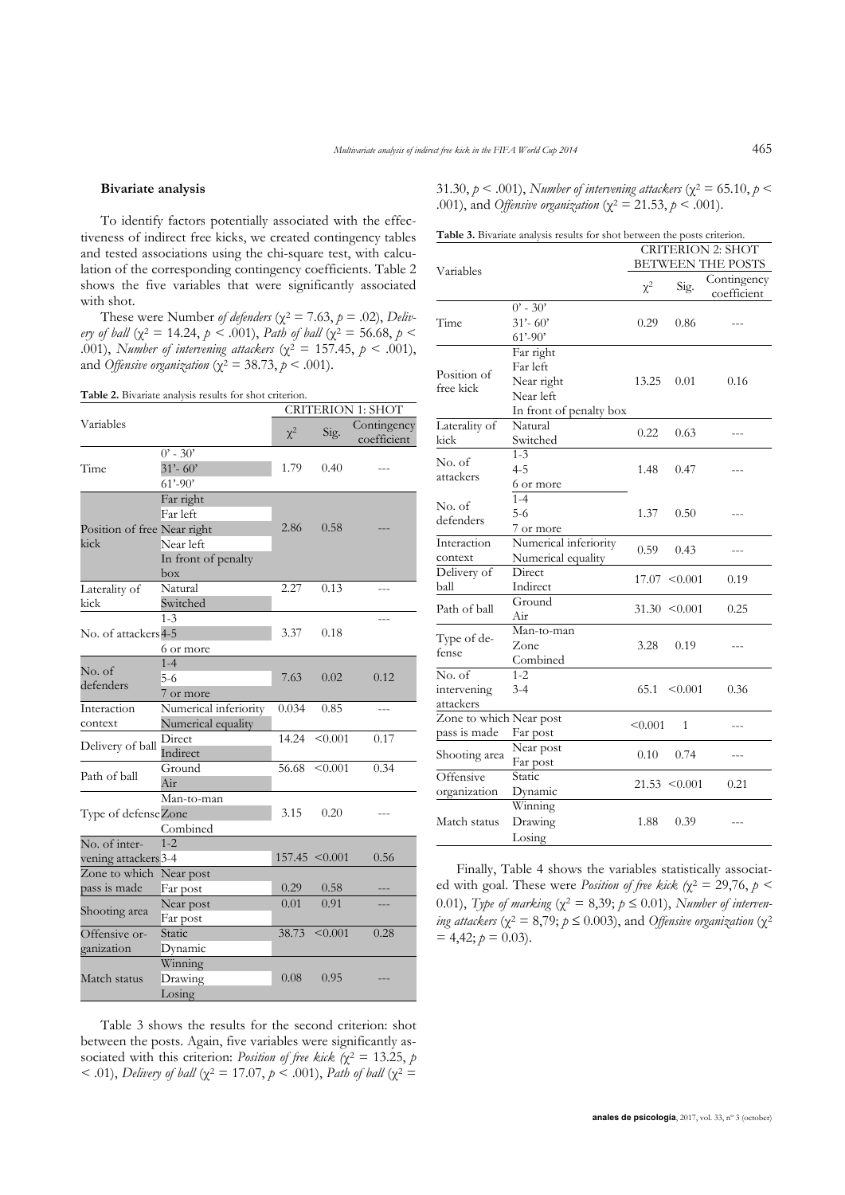#### **Bivariate analysis**

To identify factors potentially associated with the effectiveness of indirect free kicks, we created contingency tables and tested associations using the chi-square test, with calculation of the corresponding contingency coefficients. Table 2 shows the five variables that were significantly associated with shot.

These were Number of defenders ( $\chi^2 = 7.63$ ,  $p = .02$ ), *Delivery of ball* ( $\chi^2$  = 14.24,  $p \le 0.001$ ), *Path of ball* ( $\chi^2$  = 56.68,  $p$  < .001), *Number of intervening attackers* ( $\chi^2 = 157.45$ ,  $p < .001$ ), and *Offensive organization* ( $\chi^2 = 38.73$ ,  $p < .001$ ).

**Table 2.** Bivariate analysis results for shot criterion.

|                                         |                                                                                                 | <b>CRITERION 1: SHOT</b> |                    |                            |  |
|-----------------------------------------|-------------------------------------------------------------------------------------------------|--------------------------|--------------------|----------------------------|--|
| Variables                               |                                                                                                 | $\chi^2$                 | Sig.               | Contingency<br>coefficient |  |
| Time                                    | $0'$ - 30'<br>$31' - 60'$<br>$61' - 90'$                                                        | 1.79                     | 0.40               |                            |  |
| kick                                    | Far right<br>Far left<br>Position of free Near right<br>Near left<br>In front of penalty<br>box |                          | 0.58               |                            |  |
| Laterality of<br>kick                   | Natural<br>Switched                                                                             | 2.27                     | 0.13               |                            |  |
| No. of attackers4-5                     | $1 - 3$<br>6 or more                                                                            | 3.37                     | 0.18               |                            |  |
| No. of<br>defenders                     | $1 - 4$<br>5-6<br>7 or more                                                                     | 7.63                     | 0.02               | 0.12                       |  |
| Interaction<br>context                  | Numerical inferiority<br>Numerical equality                                                     | 0.034                    | 0.85               |                            |  |
| Delivery of ball                        | Direct<br>Indirect                                                                              | 14.24                    | < 0.001            | 0.17                       |  |
| Path of ball                            | Ground<br>Air                                                                                   | 56.68                    | < 0.001            | 0.34                       |  |
| Type of defenseZone                     | Man-to-man<br>Combined                                                                          | 3.15                     | 0.20               |                            |  |
| No. of inter-<br>vening attackers 3-4   | $1 - 2$                                                                                         |                          | $157.45 \le 0.001$ | 0.56                       |  |
| Zone to which Near post<br>pass is made | Far post                                                                                        | 0.29                     | 0.58               |                            |  |
| Shooting area                           | Near post<br>Far post                                                                           | 0.01                     | 0.91               | ---                        |  |
| Offensive or-<br>ganization             | Static<br>Dynamic                                                                               | 38.73                    | < 0.001            | 0.28                       |  |
| Match status                            | Winning<br>Drawing<br>Losing                                                                    | 0.08                     | 0.95               |                            |  |

Table 3 shows the results for the second criterion: shot between the posts. Again, five variables were significantly associated with this criterion: *Position of free kick*  $\chi^2 = 13.25$ , *p* < .01), *Delivery of ball* ( $\chi^2 = 17.07$ ,  $p < .001$ ), *Path of ball* ( $\chi^2 =$  31.30,  $p < .001$ ), *Number of intervening attackers* ( $\chi^2 = 65.10$ ,  $p <$ .001), and *Offensive organization* ( $χ² = 21.53, p < .001$ ).

| <b>Table 3.</b> Bivariate analysis results for shot between the posts criterion. |  |  |
|----------------------------------------------------------------------------------|--|--|
|                                                                                  |  |  |

|                         |                         | <b>CRITERION 2: SHOT</b> |                          |             |  |  |
|-------------------------|-------------------------|--------------------------|--------------------------|-------------|--|--|
| Variables               |                         |                          | <b>BETWEEN THE POSTS</b> |             |  |  |
|                         |                         | $\chi^2$                 | Sig.                     | Contingency |  |  |
|                         |                         |                          |                          | coefficient |  |  |
|                         | $0'$ - 30'              |                          |                          |             |  |  |
| Time                    | $31' - 60'$             | 0.29                     | 0.86                     |             |  |  |
|                         | $61' - 90'$             |                          |                          |             |  |  |
|                         | Far right               |                          |                          |             |  |  |
| Position of             | Far left                |                          |                          |             |  |  |
| free kick               | Near right              | 13.25                    | 0.01                     | 0.16        |  |  |
|                         | Near left               |                          |                          |             |  |  |
|                         | In front of penalty box |                          |                          |             |  |  |
| Laterality of           | Natural                 | 0.22                     | 0.63                     |             |  |  |
| kick                    | Switched                |                          |                          |             |  |  |
| No. of                  | $1 - 3$                 |                          |                          |             |  |  |
| attackers               | $4 - 5$                 | 1.48                     | 0.47                     |             |  |  |
|                         | 6 or more               |                          |                          |             |  |  |
| No. of                  | $1 - 4$                 |                          |                          |             |  |  |
| defenders               | $5-6$                   | 1.37                     | 0.50                     |             |  |  |
|                         | 7 or more               |                          |                          |             |  |  |
| Interaction             | Numerical inferiority   | 0.59                     | 0.43                     |             |  |  |
| context                 | Numerical equality      |                          |                          |             |  |  |
| Delivery of             | Direct                  |                          | $17.07 \le 0.001$        | 0.19        |  |  |
| ball                    | Indirect                |                          |                          |             |  |  |
| Path of ball            | Ground                  |                          | $31.30 \le 0.001$        | 0.25        |  |  |
|                         | Air                     |                          |                          |             |  |  |
| Type of de-             | Man-to-man              |                          |                          |             |  |  |
| fense                   | Zone                    | 3.28                     | 0.19                     |             |  |  |
|                         | Combined                |                          |                          |             |  |  |
| No. of                  | $1 - 2$                 |                          |                          |             |  |  |
| intervening             | $3-4$                   | 65.1                     | < 0.001                  | 0.36        |  |  |
| attackers               |                         |                          |                          |             |  |  |
| Zone to which Near post |                         | < 0.001                  | 1                        | $---$       |  |  |
| pass is made            | Far post                |                          |                          |             |  |  |
| Shooting area           | Near post               | 0.10                     | 0.74                     |             |  |  |
| Offensive               | Far post<br>Static      |                          |                          |             |  |  |
|                         |                         |                          | $21.53 \le 0.001$        | 0.21        |  |  |
| organization            | Dynamic                 |                          |                          |             |  |  |
|                         | Winning                 |                          |                          |             |  |  |
| Match status            | Drawing                 | 1.88                     | 0.39                     |             |  |  |
|                         | Losing                  |                          |                          |             |  |  |

Finally, Table 4 shows the variables statistically associated with goal. These were *Position of free kick* ( $\chi^2 = 29,76$ ,  $p <$ 0.01), *Type of marking* ( $\chi^2 = 8,39$ ;  $p \le 0.01$ ), *Number of intervening attackers* ( $\chi^2 = 8,79$ ;  $p \le 0.003$ ), and *Offensive organization* ( $\chi^2$  $= 4,42; p = 0.03$ .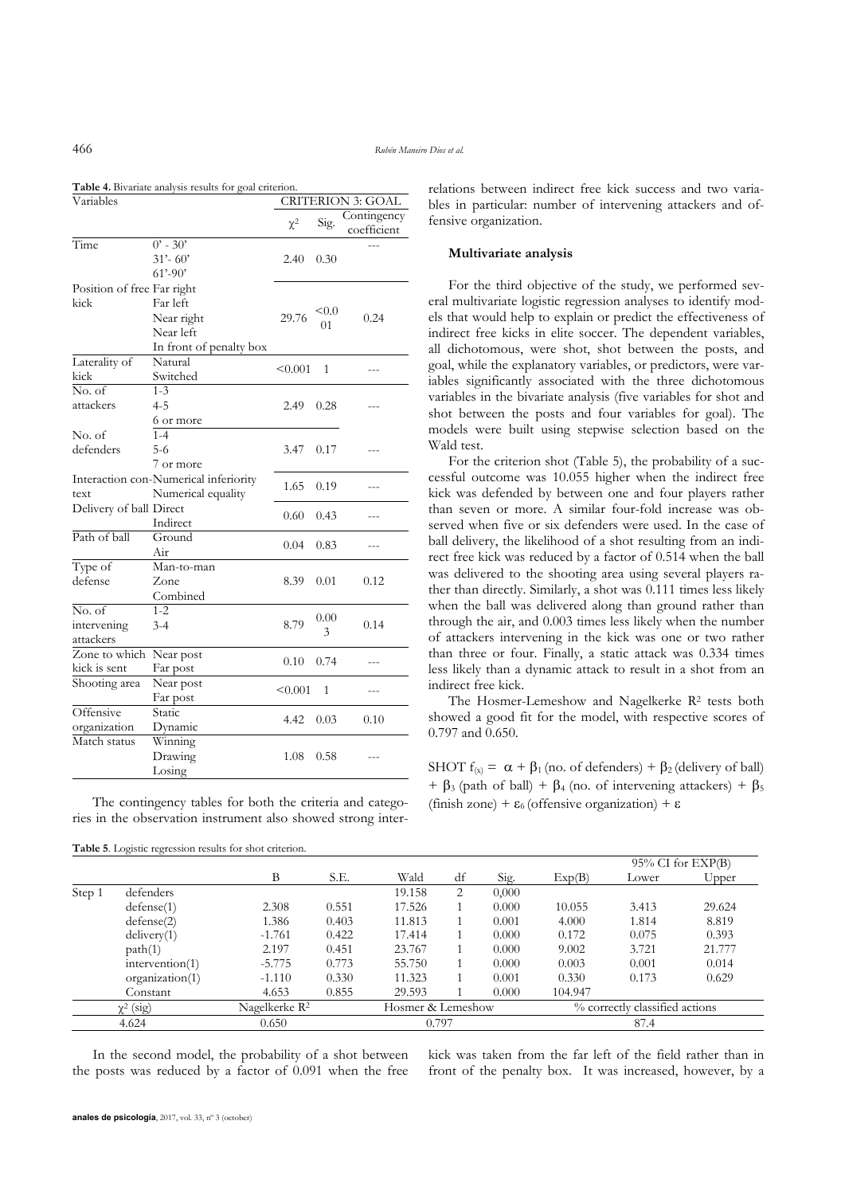| Table 4. Bivariate analysis results for goal criterion. |  |  |  |  |  |  |  |
|---------------------------------------------------------|--|--|--|--|--|--|--|
|---------------------------------------------------------|--|--|--|--|--|--|--|

| Variables                          |                                                                | <b>CRITERION 3: GOAL</b> |             |                            |
|------------------------------------|----------------------------------------------------------------|--------------------------|-------------|----------------------------|
|                                    |                                                                | $\chi^2$                 | Sig.        | Contingency<br>coefficient |
| Time                               | $0'$ - 30'<br>31'- 60'<br>$61' - 90'$                          | 2.40                     | 0.30        |                            |
| Position of free Far right<br>kick | Far left<br>Near right<br>Near left<br>In front of penalty box | 29.76                    | < 0.0<br>01 | 0.24                       |
| Laterality of<br>kick              | Natural<br>Switched                                            | < 0.001                  | 1           |                            |
| No. of<br>attackers                | 1-3<br>4-5<br>6 or more                                        | 2.49                     | 0.28        |                            |
| No. of<br>defenders                | $1 - 4$<br>$5-6$<br>7 or more                                  | 3.47                     | 0.17        |                            |
| text                               | Interaction con-Numerical inferiority<br>Numerical equality    | 1.65                     | 0.19        |                            |
| Delivery of ball Direct            | Indirect                                                       | 0.60                     | 0.43        |                            |
| Path of ball                       | Ground<br>Air                                                  | 0.04                     | 0.83        |                            |
| Type of<br>defense                 | Man-to-man<br>Zone<br>Combined                                 | 8.39                     | 0.01        | 0.12                       |
| No. of<br>intervening<br>attackers | $1 - 2$<br>$3-4$                                               | 8.79                     | 0.00<br>3   | 0.14                       |
| Zone to which<br>kick is sent      | Near post<br>Far post                                          | 0.10                     | 0.74        |                            |
| Shooting area                      | Near post<br>Far post                                          | < 0.001                  | 1           |                            |
| Offensive<br>organization          | Static<br>Dynamic                                              | 4.42                     | 0.03        | 0.10                       |
| Match status                       | Winning<br>Drawing<br>Losing                                   | 1.08                     | 0.58        |                            |

The contingency tables for both the criteria and categories in the observation instrument also showed strong interrelations between indirect free kick success and two variables in particular: number of intervening attackers and offensive organization.

## **Multivariate analysis**

For the third objective of the study, we performed several multivariate logistic regression analyses to identify models that would help to explain or predict the effectiveness of indirect free kicks in elite soccer. The dependent variables, all dichotomous, were shot, shot between the posts, and goal, while the explanatory variables, or predictors, were variables significantly associated with the three dichotomous variables in the bivariate analysis (five variables for shot and shot between the posts and four variables for goal). The models were built using stepwise selection based on the Wald test.

For the criterion shot (Table 5), the probability of a successful outcome was 10.055 higher when the indirect free kick was defended by between one and four players rather than seven or more. A similar four-fold increase was observed when five or six defenders were used. In the case of ball delivery, the likelihood of a shot resulting from an indirect free kick was reduced by a factor of 0.514 when the ball was delivered to the shooting area using several players rather than directly. Similarly, a shot was 0.111 times less likely when the ball was delivered along than ground rather than through the air, and 0.003 times less likely when the number of attackers intervening in the kick was one or two rather than three or four. Finally, a static attack was 0.334 times less likely than a dynamic attack to result in a shot from an indirect free kick.

The Hosmer-Lemeshow and Nagelkerke R<sup>2</sup> tests both showed a good fit for the model, with respective scores of 0.797 and 0.650.

SHOT  $f(x) = \alpha + \beta_1$  (no. of defenders) +  $\beta_2$  (delivery of ball) +  $\beta_3$  (path of ball) +  $\beta_4$  (no. of intervening attackers) +  $\beta_5$ (finish zone) +  $\varepsilon_6$  (offensive organization) +  $\varepsilon$ 

kick was taken from the far left of the field rather than in front of the penalty box. It was increased, however, by a

|                |                 |          |                                                |        |    |                                |         |       | $95\%$ CI for EXP(B) |
|----------------|-----------------|----------|------------------------------------------------|--------|----|--------------------------------|---------|-------|----------------------|
|                |                 | B        | S.E.                                           | Wald   | df | Sig.                           | Exp(B)  | Lower | Upper                |
| Step 1         | defenders       |          |                                                | 19.158 | 2  | 0,000                          |         |       |                      |
|                | defense(1)      | 2.308    | 0.551                                          | 17.526 |    | 0.000                          | 10.055  | 3.413 | 29.624               |
|                | defense(2)      | 1.386    | 0.403                                          | 11.813 |    | 0.001                          | 4.000   | 1.814 | 8.819                |
|                | deliverv(1)     | $-1.761$ | 0.422                                          | 17.414 |    | 0.000                          | 0.172   | 0.075 | 0.393                |
|                | path(1)         | 2.197    | 0.451                                          | 23.767 |    | 0.000                          | 9.002   | 3.721 | 21.777               |
|                | intervention(1) | $-5.775$ | 0.773                                          | 55.750 |    | 0.000                          | 0.003   | 0.001 | 0.014                |
|                | organization(1) | $-1.110$ | 0.330                                          | 11.323 |    | 0.001                          | 0.330   | 0.173 | 0.629                |
|                | Constant        | 4.653    | 0.855                                          | 29.593 |    | 0.000                          | 104.947 |       |                      |
| $\chi^2$ (sig) |                 |          | Nagelkerke R <sup>2</sup><br>Hosmer & Lemeshow |        |    | % correctly classified actions |         |       |                      |
| 4.624          |                 | 0.650    |                                                | 0.797  |    |                                |         | 87.4  |                      |

**Table 5**. Logistic regression results for shot criterion.

In the second model, the probability of a shot between the posts was reduced by a factor of 0.091 when the free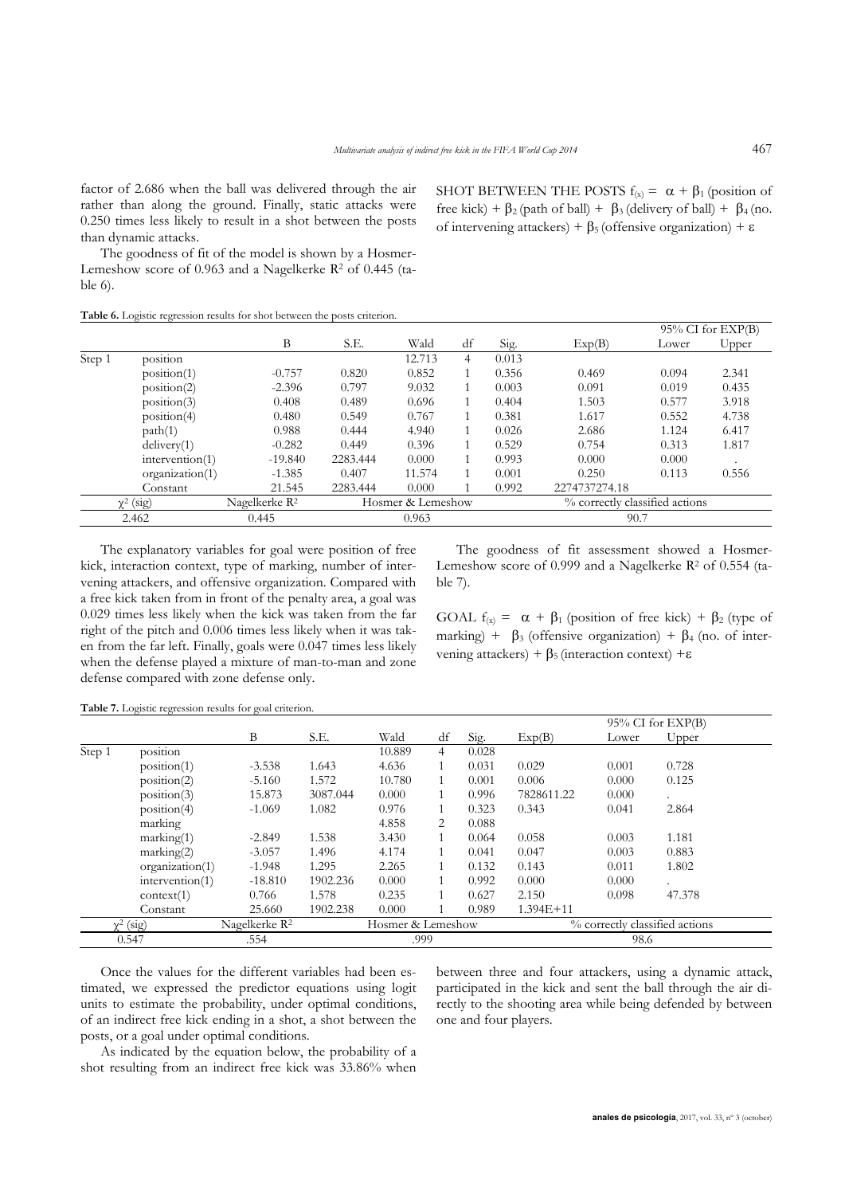factor of 2.686 when the ball was delivered through the air rather than along the ground. Finally, static attacks were 0.250 times less likely to result in a shot between the posts than dynamic attacks.

The goodness of fit of the model is shown by a Hosmer-Lemeshow score of  $0.963$  and a Nagelkerke  $R<sup>2</sup>$  of  $0.445$  (table 6).

SHOT BETWEEN THE POSTS  $f(x) = \alpha + \beta_1$  (position of free kick) +  $\beta_2$  (path of ball) +  $\beta_3$  (delivery of ball) +  $\beta_4$  (no. of intervening attackers) +  $\beta_5$  (offensive organization) +  $\varepsilon$ 

**Table 6.** Logistic regression results for shot between the posts criterion.

|        |                 |                           |                   |        |    |       |                                |       | $95\%$ CI for $EXP(B)$ |  |
|--------|-----------------|---------------------------|-------------------|--------|----|-------|--------------------------------|-------|------------------------|--|
|        |                 | B                         | S.E.              | Wald   | df | Sig.  | Exp(B)                         | Lower | Upper                  |  |
| Step 1 | position        |                           |                   | 12.713 | 4  | 0.013 |                                |       |                        |  |
|        | position(1)     | $-0.757$                  | 0.820             | 0.852  |    | 0.356 | 0.469                          | 0.094 | 2.341                  |  |
|        | position(2)     | $-2.396$                  | 0.797             | 9.032  |    | 0.003 | 0.091                          | 0.019 | 0.435                  |  |
|        | position(3)     | 0.408                     | 0.489             | 0.696  |    | 0.404 | 1.503                          | 0.577 | 3.918                  |  |
|        | position(4)     | 0.480                     | 0.549             | 0.767  |    | 0.381 | 1.617                          | 0.552 | 4.738                  |  |
|        | path(1)         | 0.988                     | 0.444             | 4.940  |    | 0.026 | 2.686                          | 1.124 | 6.417                  |  |
|        | delivery(1)     | $-0.282$                  | 0.449             | 0.396  |    | 0.529 | 0.754                          | 0.313 | 1.817                  |  |
|        | intervention(1) | $-19.840$                 | 2283.444          | 0.000  |    | 0.993 | 0.000                          | 0.000 |                        |  |
|        | organization(1) | $-1.385$                  | 0.407             | 11.574 |    | 0.001 | 0.250                          | 0.113 | 0.556                  |  |
|        | Constant        | 21.545                    | 2283.444          | 0.000  |    | 0.992 | 2274737274.18                  |       |                        |  |
|        | $\chi^2$ (sig)  | Nagelkerke R <sup>2</sup> | Hosmer & Lemeshow |        |    |       | % correctly classified actions |       |                        |  |
|        | 2.462           | 0.445                     |                   | 0.963  |    |       | 90.7                           |       |                        |  |

The explanatory variables for goal were position of free kick, interaction context, type of marking, number of intervening attackers, and offensive organization. Compared with a free kick taken from in front of the penalty area, a goal was 0.029 times less likely when the kick was taken from the far right of the pitch and 0.006 times less likely when it was taken from the far left. Finally, goals were 0.047 times less likely when the defense played a mixture of man-to-man and zone defense compared with zone defense only.

The goodness of fit assessment showed a Hosmer-Lemeshow score of 0.999 and a Nagelkerke  $R^2$  of 0.554 (table 7).

GOAL  $f(x) = \alpha + \beta_1$  (position of free kick) +  $\beta_2$  (type of marking) +  $\beta_3$  (offensive organization) +  $\beta_4$  (no. of intervening attackers) +  $\beta$ <sub>5</sub> (interaction context) + $\varepsilon$ 

**Table 7.** Logistic regression results for goal criterion.

|        |                 |                           |          |                   |    |       |               |                                | $95\%$ CI for $EXP(B)$ |  |
|--------|-----------------|---------------------------|----------|-------------------|----|-------|---------------|--------------------------------|------------------------|--|
|        |                 | B                         | S.E.     | Wald              | df | Sig.  | Exp(B)        | Lower                          | Upper                  |  |
| Step 1 | position        |                           |          | 10.889            | 4  | 0.028 |               |                                |                        |  |
|        | position(1)     | $-3.538$                  | 1.643    | 4.636             |    | 0.031 | 0.029         | 0.001                          | 0.728                  |  |
|        | position(2)     | $-5.160$                  | 1.572    | 10.780            |    | 0.001 | 0.006         | 0.000                          | 0.125                  |  |
|        | position(3)     | 15.873                    | 3087.044 | 0.000             |    | 0.996 | 7828611.22    | 0.000                          | $\cdot$                |  |
|        | position(4)     | $-1.069$                  | 1.082    | 0.976             |    | 0.323 | 0.343         | 0.041                          | 2.864                  |  |
|        | marking         |                           |          | 4.858             | 2  | 0.088 |               |                                |                        |  |
|        | marking(1)      | $-2.849$                  | 1.538    | 3.430             |    | 0.064 | 0.058         | 0.003                          | 1.181                  |  |
|        | marking(2)      | $-3.057$                  | 1.496    | 4.174             |    | 0.041 | 0.047         | 0.003                          | 0.883                  |  |
|        | organization(1) | $-1.948$                  | 1.295    | 2.265             |    | 0.132 | 0.143         | 0.011                          | 1.802                  |  |
|        | intervention(1) | $-18.810$                 | 1902.236 | 0.000             |    | 0.992 | 0.000         | 0.000                          |                        |  |
|        | context(1)      | 0.766                     | 1.578    | 0.235             |    | 0.627 | 2.150         | 0.098                          | 47.378                 |  |
|        | Constant        | 25.660                    | 1902.238 | 0.000             |    | 0.989 | $1.394E + 11$ |                                |                        |  |
|        | $\chi^2$ (sig)  | Nagelkerke R <sup>2</sup> |          | Hosmer & Lemeshow |    |       |               | % correctly classified actions |                        |  |
|        | 0.547           | .554                      |          | .999              |    |       |               | 98.6                           |                        |  |

Once the values for the different variables had been estimated, we expressed the predictor equations using logit units to estimate the probability, under optimal conditions, of an indirect free kick ending in a shot, a shot between the posts, or a goal under optimal conditions.

As indicated by the equation below, the probability of a shot resulting from an indirect free kick was 33.86% when

between three and four attackers, using a dynamic attack, participated in the kick and sent the ball through the air directly to the shooting area while being defended by between one and four players.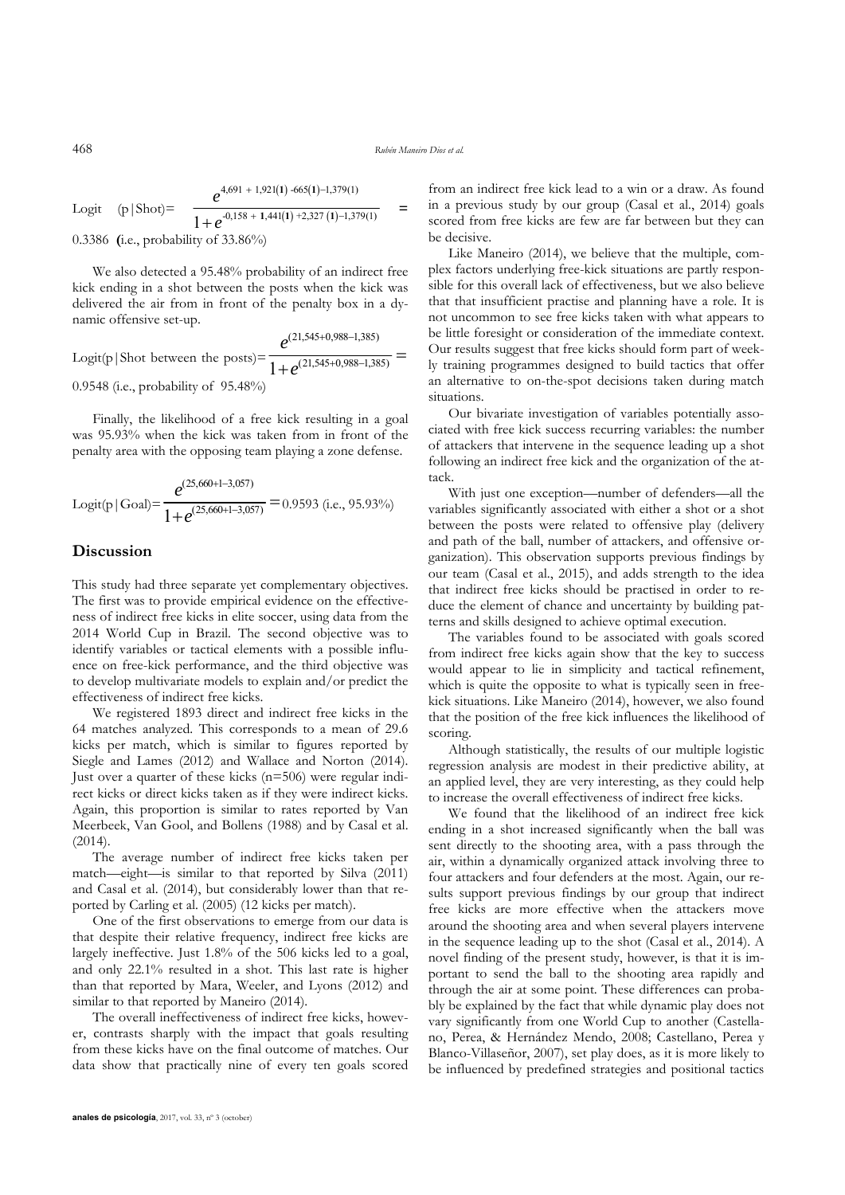$$
e^{4,691 + 1,921(1) -665(1) -1,379(1)}
$$

Logit  $(p | Shot)$ =  $1+e^{-0,158 + 1,441(1) + 2,327(1) - 1,379(1)}$  $+ e^{-0,158 + 1,441(1) + 2,327(1) - 1,379(1)} =$ 0.3386 **(**i.e., probability of 33.86%)

We also detected a 95.48% probability of an indirect free kick ending in a shot between the posts when the kick was delivered the air from in front of the penalty box in a dynamic offensive set-up.

Logit(p| Shot between the posts) = 
$$
\frac{e^{(21,545+0,988-1,385)}}{1+e^{(21,545+0,988-1,385)}} =
$$
0.9548 (i.e., probability of 95.48%)

Finally, the likelihood of a free kick resulting in a goal was 95.93% when the kick was taken from in front of the penalty area with the opposing team playing a zone defense.

$$
Logit(p | Goal) = \frac{e^{(25,660+1-3,057)}}{1 + e^{(25,660+1-3,057)}} = 0.9593
$$
 (i.e., 95.93%)

# **Discussion**

This study had three separate yet complementary objectives. The first was to provide empirical evidence on the effectiveness of indirect free kicks in elite soccer, using data from the 2014 World Cup in Brazil. The second objective was to identify variables or tactical elements with a possible influence on free-kick performance, and the third objective was to develop multivariate models to explain and/or predict the effectiveness of indirect free kicks.

We registered 1893 direct and indirect free kicks in the 64 matches analyzed. This corresponds to a mean of 29.6 kicks per match, which is similar to figures reported by Siegle and Lames (2012) and Wallace and Norton (2014). Just over a quarter of these kicks (n=506) were regular indirect kicks or direct kicks taken as if they were indirect kicks. Again, this proportion is similar to rates reported by Van Meerbeek, Van Gool, and Bollens (1988) and by Casal et al. (2014).

The average number of indirect free kicks taken per match—eight—is similar to that reported by Silva (2011) and Casal et al. (2014), but considerably lower than that reported by Carling et al. (2005) (12 kicks per match).

One of the first observations to emerge from our data is that despite their relative frequency, indirect free kicks are largely ineffective. Just 1.8% of the 506 kicks led to a goal, and only 22.1% resulted in a shot. This last rate is higher than that reported by Mara, Weeler, and Lyons (2012) and similar to that reported by Maneiro (2014).

The overall ineffectiveness of indirect free kicks, however, contrasts sharply with the impact that goals resulting from these kicks have on the final outcome of matches. Our data show that practically nine of every ten goals scored from an indirect free kick lead to a win or a draw. As found in a previous study by our group (Casal et al., 2014) goals scored from free kicks are few are far between but they can be decisive.

Like Maneiro (2014), we believe that the multiple, complex factors underlying free-kick situations are partly responsible for this overall lack of effectiveness, but we also believe that that insufficient practise and planning have a role. It is not uncommon to see free kicks taken with what appears to be little foresight or consideration of the immediate context. Our results suggest that free kicks should form part of weekly training programmes designed to build tactics that offer an alternative to on-the-spot decisions taken during match situations.

Our bivariate investigation of variables potentially associated with free kick success recurring variables: the number of attackers that intervene in the sequence leading up a shot following an indirect free kick and the organization of the attack.

With just one exception—number of defenders—all the variables significantly associated with either a shot or a shot between the posts were related to offensive play (delivery and path of the ball, number of attackers, and offensive organization). This observation supports previous findings by our team (Casal et al., 2015), and adds strength to the idea that indirect free kicks should be practised in order to reduce the element of chance and uncertainty by building patterns and skills designed to achieve optimal execution.

The variables found to be associated with goals scored from indirect free kicks again show that the key to success would appear to lie in simplicity and tactical refinement, which is quite the opposite to what is typically seen in freekick situations. Like Maneiro (2014), however, we also found that the position of the free kick influences the likelihood of scoring.

Although statistically, the results of our multiple logistic regression analysis are modest in their predictive ability, at an applied level, they are very interesting, as they could help to increase the overall effectiveness of indirect free kicks.

We found that the likelihood of an indirect free kick ending in a shot increased significantly when the ball was sent directly to the shooting area, with a pass through the air, within a dynamically organized attack involving three to four attackers and four defenders at the most. Again, our results support previous findings by our group that indirect free kicks are more effective when the attackers move around the shooting area and when several players intervene in the sequence leading up to the shot (Casal et al., 2014). A novel finding of the present study, however, is that it is important to send the ball to the shooting area rapidly and through the air at some point. These differences can probably be explained by the fact that while dynamic play does not vary significantly from one World Cup to another (Castellano, Perea, & Hernández Mendo, 2008; Castellano, Perea y Blanco-Villaseñor, 2007), set play does, as it is more likely to be influenced by predefined strategies and positional tactics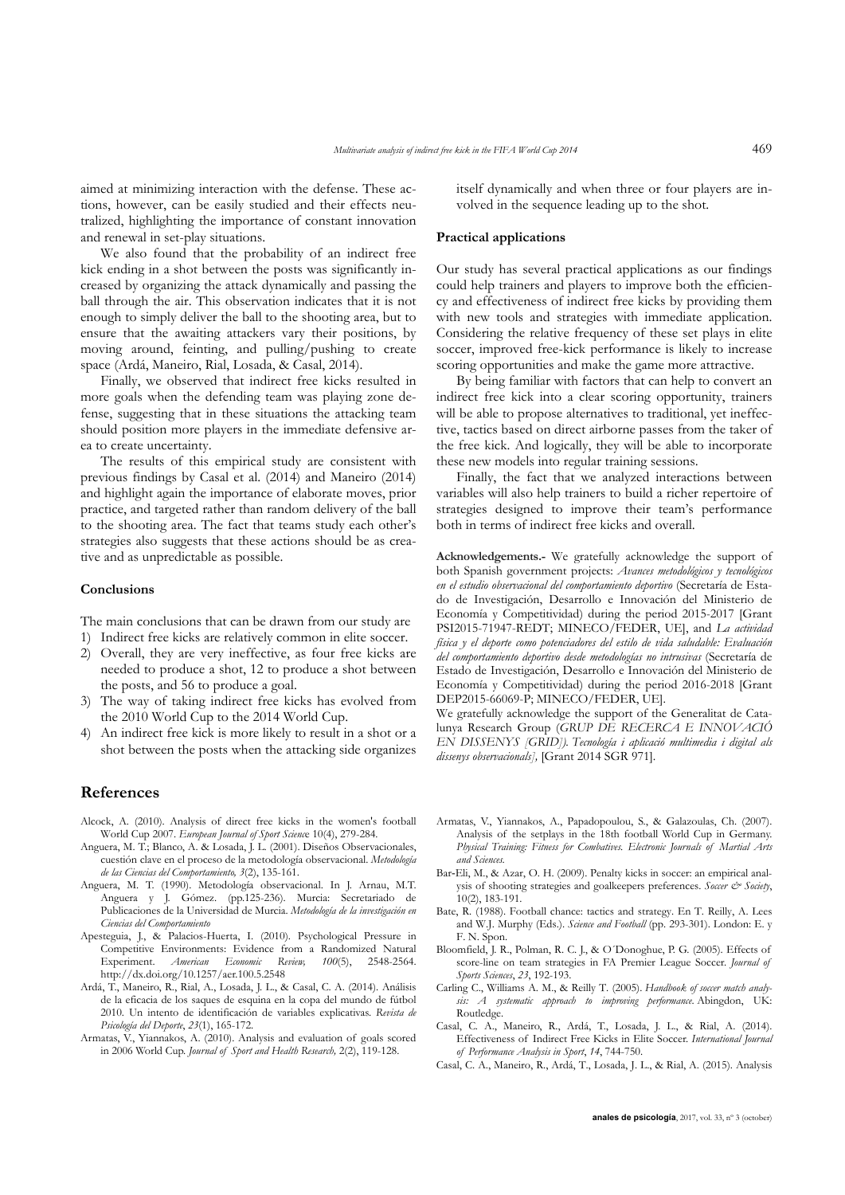aimed at minimizing interaction with the defense. These actions, however, can be easily studied and their effects neutralized, highlighting the importance of constant innovation and renewal in set-play situations.

We also found that the probability of an indirect free kick ending in a shot between the posts was significantly increased by organizing the attack dynamically and passing the ball through the air. This observation indicates that it is not enough to simply deliver the ball to the shooting area, but to ensure that the awaiting attackers vary their positions, by moving around, feinting, and pulling/pushing to create space (Ardá, Maneiro, Rial, Losada, & Casal, 2014).

Finally, we observed that indirect free kicks resulted in more goals when the defending team was playing zone defense, suggesting that in these situations the attacking team should position more players in the immediate defensive area to create uncertainty.

The results of this empirical study are consistent with previous findings by Casal et al. (2014) and Maneiro (2014) and highlight again the importance of elaborate moves, prior practice, and targeted rather than random delivery of the ball to the shooting area. The fact that teams study each other's strategies also suggests that these actions should be as creative and as unpredictable as possible.

#### **Conclusions**

The main conclusions that can be drawn from our study are

- 1) Indirect free kicks are relatively common in elite soccer.
- 2) Overall, they are very ineffective, as four free kicks are needed to produce a shot, 12 to produce a shot between the posts, and 56 to produce a goal.
- 3) The way of taking indirect free kicks has evolved from the 2010 World Cup to the 2014 World Cup.
- 4) An indirect free kick is more likely to result in a shot or a shot between the posts when the attacking side organizes

### **References**

- Alcock, A. (2010). Analysis of direct free kicks in the women's football World Cup 2007. *European Journal of Sport Scienc*e 10(4), 279-284.
- Anguera, M. T.; Blanco, A. & Losada, J. L. (2001). Diseños Observacionales, cuestión clave en el proceso de la metodología observacional. *Metodología de las Ciencias del Comportamiento, 3*(2), 135-161.
- Anguera, M. T. (1990). Metodología observacional. In J. Arnau, M.T. Anguera y J. Gómez. (pp.125-236). Murcia: Secretariado de Publicaciones de la Universidad de Murcia. *Metodología de la investigación en Ciencias del Comportamiento*
- Apesteguia, J., & Palacios-Huerta, I. (2010). Psychological Pressure in Competitive Environments: Evidence from a Randomized Natural Experiment. *American Economic Review, 100*(5), 2548-2564. http://dx.doi.org/10.1257/aer.100.5.2548
- Ardá, T., Maneiro, R., Rial, A., Losada, J. L., & Casal, C. A. (2014). Análisis de la eficacia de los saques de esquina en la copa del mundo de fútbol 2010. Un intento de identificación de variables explicativas. *Revista de Psicología del Deporte*, *23*(1), 165-172.
- Armatas, V., Yiannakos, A. (2010). Analysis and evaluation of goals scored in 2006 World Cup. *Journal of Sport and Health Research,* 2(2), 119-128.

itself dynamically and when three or four players are involved in the sequence leading up to the shot.

#### **Practical applications**

Our study has several practical applications as our findings could help trainers and players to improve both the efficiency and effectiveness of indirect free kicks by providing them with new tools and strategies with immediate application. Considering the relative frequency of these set plays in elite soccer, improved free-kick performance is likely to increase scoring opportunities and make the game more attractive.

By being familiar with factors that can help to convert an indirect free kick into a clear scoring opportunity, trainers will be able to propose alternatives to traditional, vet ineffective, tactics based on direct airborne passes from the taker of the free kick. And logically, they will be able to incorporate these new models into regular training sessions.

Finally, the fact that we analyzed interactions between variables will also help trainers to build a richer repertoire of strategies designed to improve their team's performance both in terms of indirect free kicks and overall.

**Acknowledgements.-** We gratefully acknowledge the support of both Spanish government projects: *Avances metodológicos y tecnológicos en el estudio observacional del comportamiento deportivo* (Secretaría de Estado de Investigación, Desarrollo e Innovación del Ministerio de Economía y Competitividad) during the period 2015-2017 [Grant PSI2015-71947-REDT; MINECO/FEDER, UE], and *La actividad física y el deporte como potenciadores del estilo de vida saludable: Evaluación del comportamiento deportivo desde metodologías no intrusivas* (Secretaría de Estado de Investigación, Desarrollo e Innovación del Ministerio de Economía y Competitividad) during the period 2016-2018 [Grant DEP2015-66069-P; MINECO/FEDER, UE].

We gratefully acknowledge the support of the Generalitat de Catalunya Research Group (*GRUP DE RECERCA E INNOVACIÓ EN DISSENYS [GRID]). Tecnología i aplicació multimedia i digital als dissenys observacionals],* [Grant 2014 SGR 971].

- Armatas, V., Yiannakos, A., Papadopoulou, S., & Galazoulas, Ch. (2007). Analysis of the setplays in the 18th football World Cup in Germany. *Physical Training: Fitness for Combatives. Electronic Journals of Martial Arts and Sciences.*
- Bar-Eli, M., & Azar, O. H. (2009). Penalty kicks in soccer: an empirical analysis of shooting strategies and goalkeepers preferences. *Soccer & Society*, 10(2), 183-191.
- Bate, R. (1988). Football chance: tactics and strategy. En T. Reilly, A. Lees and W.J. Murphy (Eds.). *Science and Football* (pp. 293-301). London: E. y F. N. Spon.
- Bloomfield, J. R., Polman, R. C. J., & O´Donoghue, P. G. (2005). Effects of score-line on team strategies in FA Premier League Soccer. *Journal of Sports Sciences*, *23*, 192-193.
- Carling C., Williams A. M., & Reilly T. (2005). *Handbook of soccer match analysis: A systematic approach to improving performance*. Abingdon, UK: Routledge.
- Casal, C. A., Maneiro, R., Ardá, T., Losada, J. L., & Rial, A. (2014). Effectiveness of Indirect Free Kicks in Elite Soccer. *International Journal of Performance Analysis in Sport*, *14*, 744-750.
- Casal, C. A., Maneiro, R., Ardá, T., Losada, J. L., & Rial, A. (2015). Analysis